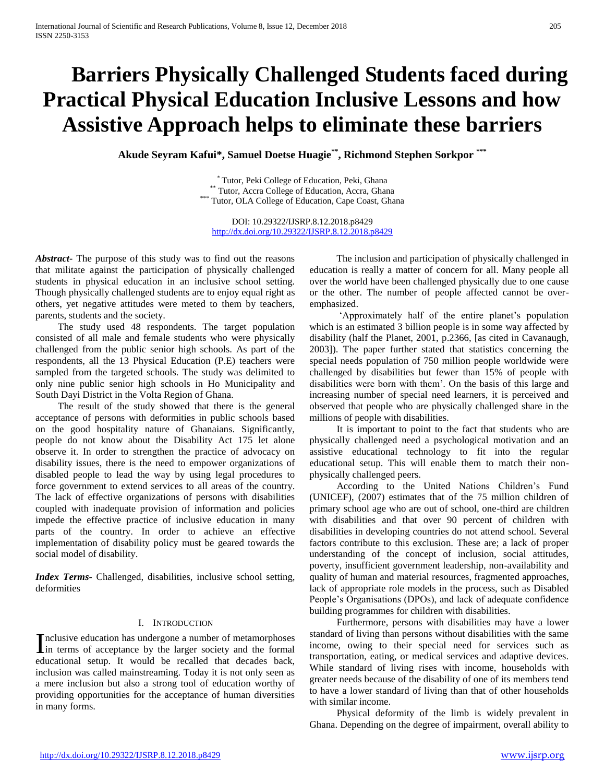# **Barriers Physically Challenged Students faced during Practical Physical Education Inclusive Lessons and how Assistive Approach helps to eliminate these barriers**

**Akude Seyram Kafui\*, Samuel Doetse Huagie\*\* , Richmond Stephen Sorkpor \*\*\***

\* Tutor, Peki College of Education, Peki, Ghana \*\* Tutor, Accra College of Education, Accra, Ghana \*\*\* Tutor, OLA College of Education, Cape Coast, Ghana

DOI: 10.29322/IJSRP.8.12.2018.p8429 <http://dx.doi.org/10.29322/IJSRP.8.12.2018.p8429>

*Abstract***-** The purpose of this study was to find out the reasons that militate against the participation of physically challenged students in physical education in an inclusive school setting. Though physically challenged students are to enjoy equal right as others, yet negative attitudes were meted to them by teachers, parents, students and the society.

 The study used 48 respondents. The target population consisted of all male and female students who were physically challenged from the public senior high schools. As part of the respondents, all the 13 Physical Education (P.E) teachers were sampled from the targeted schools. The study was delimited to only nine public senior high schools in Ho Municipality and South Dayi District in the Volta Region of Ghana.

 The result of the study showed that there is the general acceptance of persons with deformities in public schools based on the good hospitality nature of Ghanaians. Significantly, people do not know about the Disability Act 175 let alone observe it. In order to strengthen the practice of advocacy on disability issues, there is the need to empower organizations of disabled people to lead the way by using legal procedures to force government to extend services to all areas of the country. The lack of effective organizations of persons with disabilities coupled with inadequate provision of information and policies impede the effective practice of inclusive education in many parts of the country. In order to achieve an effective implementation of disability policy must be geared towards the social model of disability.

*Index Terms*- Challenged, disabilities, inclusive school setting, deformities

#### I. INTRODUCTION

nclusive education has undergone a number of metamorphoses Inclusive education has undergone a number of metamorphoses<br>in terms of acceptance by the larger society and the formal educational setup. It would be recalled that decades back, inclusion was called mainstreaming. Today it is not only seen as a mere inclusion but also a strong tool of education worthy of providing opportunities for the acceptance of human diversities in many forms.

 The inclusion and participation of physically challenged in education is really a matter of concern for all. Many people all over the world have been challenged physically due to one cause or the other. The number of people affected cannot be overemphasized.

 'Approximately half of the entire planet's population which is an estimated 3 billion people is in some way affected by disability (half the Planet, 2001, p.2366, [as cited in Cavanaugh, 2003]). The paper further stated that statistics concerning the special needs population of 750 million people worldwide were challenged by disabilities but fewer than 15% of people with disabilities were born with them'. On the basis of this large and increasing number of special need learners, it is perceived and observed that people who are physically challenged share in the millions of people with disabilities.

 It is important to point to the fact that students who are physically challenged need a psychological motivation and an assistive educational technology to fit into the regular educational setup. This will enable them to match their nonphysically challenged peers.

 According to the United Nations Children's Fund (UNICEF), (2007) estimates that of the 75 million children of primary school age who are out of school, one-third are children with disabilities and that over 90 percent of children with disabilities in developing countries do not attend school. Several factors contribute to this exclusion. These are; a lack of proper understanding of the concept of inclusion, social attitudes, poverty, insufficient government leadership, non-availability and quality of human and material resources, fragmented approaches, lack of appropriate role models in the process, such as Disabled People's Organisations (DPOs), and lack of adequate confidence building programmes for children with disabilities.

 Furthermore, persons with disabilities may have a lower standard of living than persons without disabilities with the same income, owing to their special need for services such as transportation, eating, or medical services and adaptive devices. While standard of living rises with income, households with greater needs because of the disability of one of its members tend to have a lower standard of living than that of other households with similar income.

 Physical deformity of the limb is widely prevalent in Ghana. Depending on the degree of impairment, overall ability to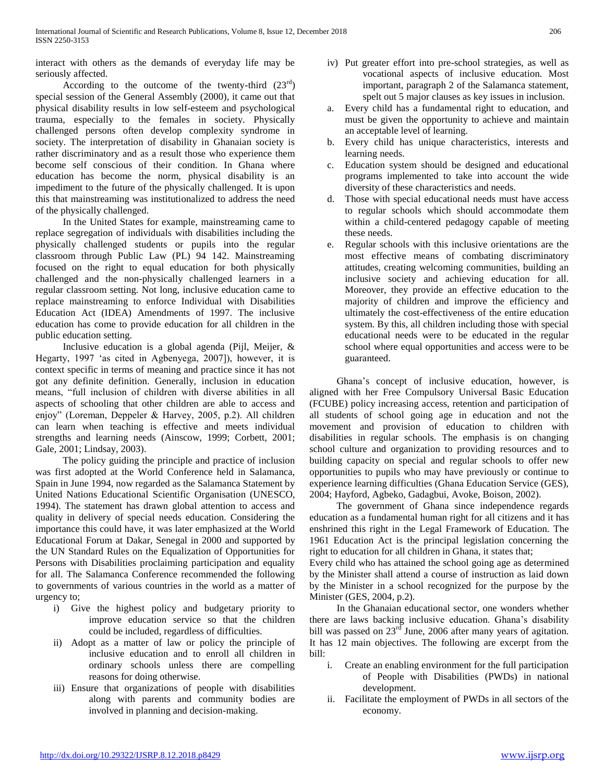interact with others as the demands of everyday life may be seriously affected.

According to the outcome of the twenty-third  $(23^{rd})$ special session of the General Assembly (2000), it came out that physical disability results in low self-esteem and psychological trauma, especially to the females in society. Physically challenged persons often develop complexity syndrome in society. The interpretation of disability in Ghanaian society is rather discriminatory and as a result those who experience them become self conscious of their condition. In Ghana where education has become the norm, physical disability is an impediment to the future of the physically challenged. It is upon this that mainstreaming was institutionalized to address the need of the physically challenged.

 In the United States for example, mainstreaming came to replace segregation of individuals with disabilities including the physically challenged students or pupils into the regular classroom through Public Law (PL) 94 142. Mainstreaming focused on the right to equal education for both physically challenged and the non-physically challenged learners in a regular classroom setting. Not long, inclusive education came to replace mainstreaming to enforce Individual with Disabilities Education Act (IDEA) Amendments of 1997. The inclusive education has come to provide education for all children in the public education setting.

 Inclusive education is a global agenda (Pijl, Meijer, & Hegarty, 1997 'as cited in Agbenyega, 2007]), however, it is context specific in terms of meaning and practice since it has not got any definite definition. Generally, inclusion in education means, "full inclusion of children with diverse abilities in all aspects of schooling that other children are able to access and enjoy" (Loreman, Deppeler & Harvey, 2005, p.2). All children can learn when teaching is effective and meets individual strengths and learning needs (Ainscow, 1999; Corbett, 2001; Gale, 2001; Lindsay, 2003).

 The policy guiding the principle and practice of inclusion was first adopted at the World Conference held in Salamanca, Spain in June 1994, now regarded as the Salamanca Statement by United Nations Educational Scientific Organisation (UNESCO, 1994). The statement has drawn global attention to access and quality in delivery of special needs education. Considering the importance this could have, it was later emphasized at the World Educational Forum at Dakar, Senegal in 2000 and supported by the UN Standard Rules on the Equalization of Opportunities for Persons with Disabilities proclaiming participation and equality for all. The Salamanca Conference recommended the following to governments of various countries in the world as a matter of urgency to;

- i) Give the highest policy and budgetary priority to improve education service so that the children could be included, regardless of difficulties.
- ii) Adopt as a matter of law or policy the principle of inclusive education and to enroll all children in ordinary schools unless there are compelling reasons for doing otherwise.
- iii) Ensure that organizations of people with disabilities along with parents and community bodies are involved in planning and decision-making.
- iv) Put greater effort into pre-school strategies, as well as vocational aspects of inclusive education. Most important, paragraph 2 of the Salamanca statement, spelt out 5 major clauses as key issues in inclusion.
- a. Every child has a fundamental right to education, and must be given the opportunity to achieve and maintain an acceptable level of learning.
- b. Every child has unique characteristics, interests and learning needs.
- c. Education system should be designed and educational programs implemented to take into account the wide diversity of these characteristics and needs.
- d. Those with special educational needs must have access to regular schools which should accommodate them within a child-centered pedagogy capable of meeting these needs.
- e. Regular schools with this inclusive orientations are the most effective means of combating discriminatory attitudes, creating welcoming communities, building an inclusive society and achieving education for all. Moreover, they provide an effective education to the majority of children and improve the efficiency and ultimately the cost-effectiveness of the entire education system. By this, all children including those with special educational needs were to be educated in the regular school where equal opportunities and access were to be guaranteed.

 Ghana's concept of inclusive education, however, is aligned with her Free Compulsory Universal Basic Education (FCUBE) policy increasing access, retention and participation of all students of school going age in education and not the movement and provision of education to children with disabilities in regular schools. The emphasis is on changing school culture and organization to providing resources and to building capacity on special and regular schools to offer new opportunities to pupils who may have previously or continue to experience learning difficulties (Ghana Education Service (GES), 2004; Hayford, Agbeko, Gadagbui, Avoke, Boison, 2002).

 The government of Ghana since independence regards education as a fundamental human right for all citizens and it has enshrined this right in the Legal Framework of Education. The 1961 Education Act is the principal legislation concerning the right to education for all children in Ghana, it states that;

Every child who has attained the school going age as determined by the Minister shall attend a course of instruction as laid down by the Minister in a school recognized for the purpose by the Minister (GES, 2004, p.2).

 In the Ghanaian educational sector, one wonders whether there are laws backing inclusive education. Ghana's disability bill was passed on  $23<sup>rd</sup>$  June, 2006 after many years of agitation. It has 12 main objectives. The following are excerpt from the bill:

- i. Create an enabling environment for the full participation of People with Disabilities (PWDs) in national development.
- ii. Facilitate the employment of PWDs in all sectors of the economy.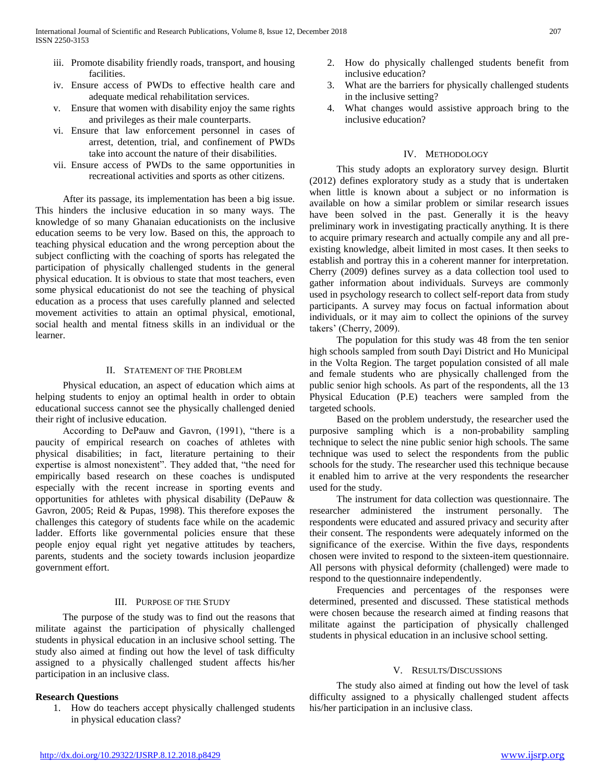- iii. Promote disability friendly roads, transport, and housing facilities.
- iv. Ensure access of PWDs to effective health care and adequate medical rehabilitation services.
- v. Ensure that women with disability enjoy the same rights and privileges as their male counterparts.
- vi. Ensure that law enforcement personnel in cases of arrest, detention, trial, and confinement of PWDs take into account the nature of their disabilities.
- vii. Ensure access of PWDs to the same opportunities in recreational activities and sports as other citizens.

 After its passage, its implementation has been a big issue. This hinders the inclusive education in so many ways. The knowledge of so many Ghanaian educationists on the inclusive education seems to be very low. Based on this, the approach to teaching physical education and the wrong perception about the subject conflicting with the coaching of sports has relegated the participation of physically challenged students in the general physical education. It is obvious to state that most teachers, even some physical educationist do not see the teaching of physical education as a process that uses carefully planned and selected movement activities to attain an optimal physical, emotional, social health and mental fitness skills in an individual or the learner.

#### II. STATEMENT OF THE PROBLEM

 Physical education, an aspect of education which aims at helping students to enjoy an optimal health in order to obtain educational success cannot see the physically challenged denied their right of inclusive education.

 According to DePauw and Gavron, (1991), "there is a paucity of empirical research on coaches of athletes with physical disabilities; in fact, literature pertaining to their expertise is almost nonexistent". They added that, "the need for empirically based research on these coaches is undisputed especially with the recent increase in sporting events and opportunities for athletes with physical disability (DePauw & Gavron, 2005; Reid & Pupas, 1998). This therefore exposes the challenges this category of students face while on the academic ladder. Efforts like governmental policies ensure that these people enjoy equal right yet negative attitudes by teachers, parents, students and the society towards inclusion jeopardize government effort.

#### III. PURPOSE OF THE STUDY

 The purpose of the study was to find out the reasons that militate against the participation of physically challenged students in physical education in an inclusive school setting. The study also aimed at finding out how the level of task difficulty assigned to a physically challenged student affects his/her participation in an inclusive class.

#### **Research Questions**

1. How do teachers accept physically challenged students in physical education class?

- 2. How do physically challenged students benefit from inclusive education?
- 3. What are the barriers for physically challenged students in the inclusive setting?
- 4. What changes would assistive approach bring to the inclusive education?

#### IV. METHODOLOGY

 This study adopts an exploratory survey design. Blurtit (2012) defines exploratory study as a study that is undertaken when little is known about a subject or no information is available on how a similar problem or similar research issues have been solved in the past. Generally it is the heavy preliminary work in investigating practically anything. It is there to acquire primary research and actually compile any and all preexisting knowledge, albeit limited in most cases. It then seeks to establish and portray this in a coherent manner for interpretation. Cherry (2009) defines survey as a data collection tool used to gather information about individuals. Surveys are commonly used in psychology research to collect self-report data from study participants. A survey may focus on factual information about individuals, or it may aim to collect the opinions of the survey takers' (Cherry, 2009).

 The population for this study was 48 from the ten senior high schools sampled from south Dayi District and Ho Municipal in the Volta Region. The target population consisted of all male and female students who are physically challenged from the public senior high schools. As part of the respondents, all the 13 Physical Education (P.E) teachers were sampled from the targeted schools.

 Based on the problem understudy, the researcher used the purposive sampling which is a non-probability sampling technique to select the nine public senior high schools. The same technique was used to select the respondents from the public schools for the study. The researcher used this technique because it enabled him to arrive at the very respondents the researcher used for the study.

 The instrument for data collection was questionnaire. The researcher administered the instrument personally. The respondents were educated and assured privacy and security after their consent. The respondents were adequately informed on the significance of the exercise. Within the five days, respondents chosen were invited to respond to the sixteen-item questionnaire. All persons with physical deformity (challenged) were made to respond to the questionnaire independently.

 Frequencies and percentages of the responses were determined, presented and discussed. These statistical methods were chosen because the research aimed at finding reasons that militate against the participation of physically challenged students in physical education in an inclusive school setting.

#### V. RESULTS/DISCUSSIONS

 The study also aimed at finding out how the level of task difficulty assigned to a physically challenged student affects his/her participation in an inclusive class.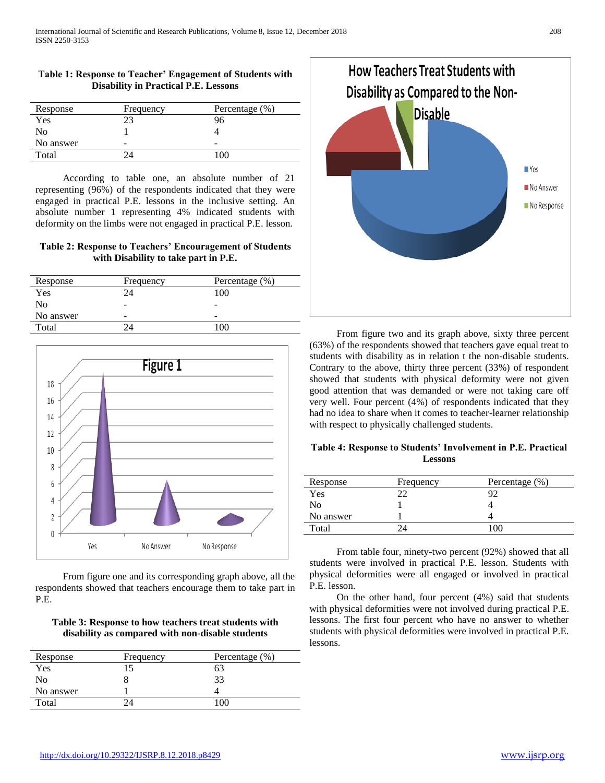## **Table 1: Response to Teacher' Engagement of Students with Disability in Practical P.E. Lessons**

| Response  | Frequency | Percentage (%) |
|-----------|-----------|----------------|
| Yes       | າາ        | 96             |
| No        |           |                |
| No answer | -         |                |
| Total     |           |                |

 According to table one, an absolute number of 21 representing (96%) of the respondents indicated that they were engaged in practical P.E. lessons in the inclusive setting. An absolute number 1 representing 4% indicated students with deformity on the limbs were not engaged in practical P.E. lesson.

# **Table 2: Response to Teachers' Encouragement of Students with Disability to take part in P.E.**

| Response  | Frequency | Percentage (%) |
|-----------|-----------|----------------|
| Yes       | 24        | 100            |
| No        | -         | -              |
| No answer | -         | -              |
| Total     |           | 100            |



 From figure one and its corresponding graph above, all the respondents showed that teachers encourage them to take part in P.E.

# **Table 3: Response to how teachers treat students with disability as compared with non-disable students**

| Response  | Frequency | Percentage (%) |
|-----------|-----------|----------------|
| Yes       |           | 63             |
| Nο        |           | 33             |
| No answer |           |                |
| Total     |           |                |



 From figure two and its graph above, sixty three percent (63%) of the respondents showed that teachers gave equal treat to students with disability as in relation t the non-disable students. Contrary to the above, thirty three percent (33%) of respondent showed that students with physical deformity were not given good attention that was demanded or were not taking care off very well. Four percent (4%) of respondents indicated that they had no idea to share when it comes to teacher-learner relationship with respect to physically challenged students.

## **Table 4: Response to Students' Involvement in P.E. Practical Lessons**

| Response  | Frequency | Percentage (%) |
|-----------|-----------|----------------|
| Yes       |           |                |
| No        |           |                |
| No answer |           |                |
| Total     |           | 100            |

 From table four, ninety-two percent (92%) showed that all students were involved in practical P.E. lesson. Students with physical deformities were all engaged or involved in practical P.E. lesson.

 On the other hand, four percent (4%) said that students with physical deformities were not involved during practical P.E. lessons. The first four percent who have no answer to whether students with physical deformities were involved in practical P.E. lessons.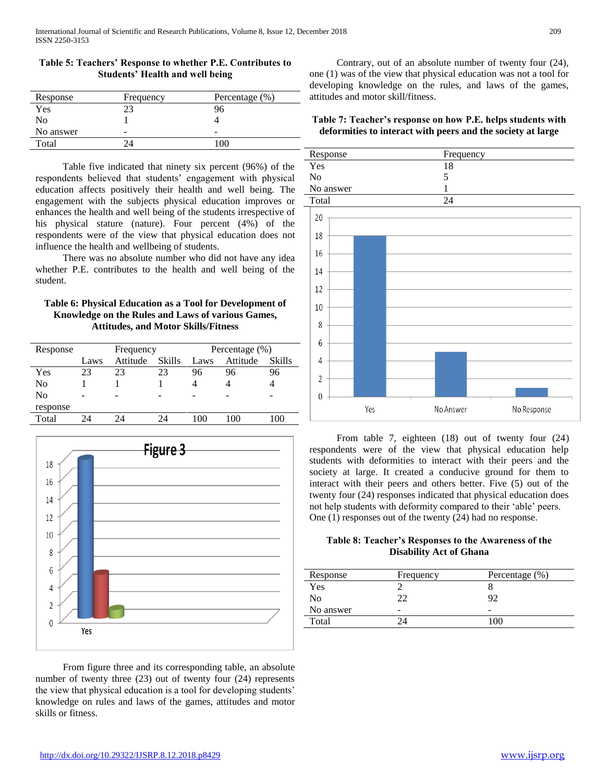| Response  | Frequency | Percentage (%) |
|-----------|-----------|----------------|
| Yes       | າຈ        | 96             |
| No        |           |                |
| No answer | -         |                |
| Total     |           | ۱OC            |

**Table 5: Teachers' Response to whether P.E. Contributes to Students' Health and well being**

 Table five indicated that ninety six percent (96%) of the respondents believed that students' engagement with physical education affects positively their health and well being. The engagement with the subjects physical education improves or enhances the health and well being of the students irrespective of his physical stature (nature). Four percent (4%) of the respondents were of the view that physical education does not influence the health and wellbeing of students.

 There was no absolute number who did not have any idea whether P.E. contributes to the health and well being of the student.

## **Table 6: Physical Education as a Tool for Development of Knowledge on the Rules and Laws of various Games, Attitudes, and Motor Skills/Fitness**

| Response |      | Frequency |               |      | Percentage $(\% )$ |            |
|----------|------|-----------|---------------|------|--------------------|------------|
|          | Laws | Attitude  | <b>Skills</b> | Laws | Attitude           | Skills     |
| Yes      | 23   | 23        | 23            | 96   | 96                 | 96         |
| No       |      |           |               |      |                    |            |
| No       | -    |           |               |      | -                  | -          |
| response |      |           |               |      |                    |            |
| Total    |      | 24        | 94            | 100  | 100                | $($ $()()$ |



 From figure three and its corresponding table, an absolute number of twenty three (23) out of twenty four (24) represents the view that physical education is a tool for developing students' knowledge on rules and laws of the games, attitudes and motor skills or fitness.

 Contrary, out of an absolute number of twenty four (24), one (1) was of the view that physical education was not a tool for developing knowledge on the rules, and laws of the games, attitudes and motor skill/fitness.

## **Table 7: Teacher's response on how P.E. helps students with deformities to interact with peers and the society at large**





 From table 7, eighteen (18) out of twenty four (24) respondents were of the view that physical education help students with deformities to interact with their peers and the society at large. It created a conducive ground for them to interact with their peers and others better. Five (5) out of the twenty four (24) responses indicated that physical education does not help students with deformity compared to their 'able' peers. One (1) responses out of the twenty (24) had no response.

# **Table 8: Teacher's Responses to the Awareness of the Disability Act of Ghana**

| Response  | Frequency | Percentage (%) |
|-----------|-----------|----------------|
| Yes       |           |                |
| No        |           |                |
| No answer | -         | -              |
| Total     |           |                |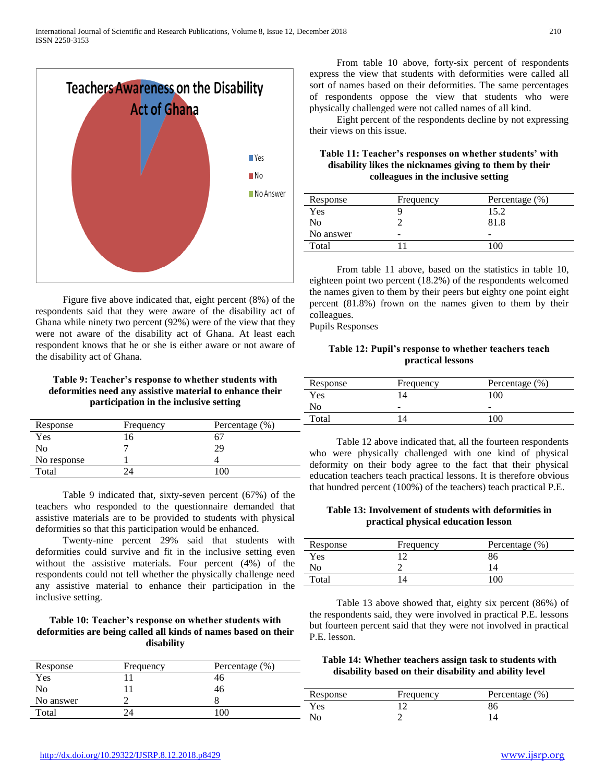

 Figure five above indicated that, eight percent (8%) of the respondents said that they were aware of the disability act of Ghana while ninety two percent (92%) were of the view that they were not aware of the disability act of Ghana. At least each respondent knows that he or she is either aware or not aware of the disability act of Ghana.

# **Table 9: Teacher's response to whether students with deformities need any assistive material to enhance their participation in the inclusive setting**

| Response    | Frequency | Percentage (%) |
|-------------|-----------|----------------|
| <b>Yes</b>  | h         |                |
| No          |           | 29             |
| No response |           |                |
| Total       |           |                |

 Table 9 indicated that, sixty-seven percent (67%) of the teachers who responded to the questionnaire demanded that assistive materials are to be provided to students with physical deformities so that this participation would be enhanced.

 Twenty-nine percent 29% said that students with deformities could survive and fit in the inclusive setting even without the assistive materials. Four percent (4%) of the respondents could not tell whether the physically challenge need any assistive material to enhance their participation in the inclusive setting.

#### **Table 10: Teacher's response on whether students with deformities are being called all kinds of names based on their disability**

| Response  | Frequency | Percentage $(\% )$ |               | Table 14: Whether teachers assign task to students wi<br>disability based on their disability and ability level |                    |
|-----------|-----------|--------------------|---------------|-----------------------------------------------------------------------------------------------------------------|--------------------|
| Yes       |           |                    |               |                                                                                                                 |                    |
| No        |           | 40                 | Response      | Frequency                                                                                                       | Percentage $(\% )$ |
| No answer |           |                    | $\rm{v}_{es}$ |                                                                                                                 | 86                 |
| Total     |           | 100                | No            |                                                                                                                 |                    |

 From table 10 above, forty-six percent of respondents express the view that students with deformities were called all sort of names based on their deformities. The same percentages of respondents oppose the view that students who were physically challenged were not called names of all kind.

 Eight percent of the respondents decline by not expressing their views on this issue.

## **Table 11: Teacher's responses on whether students' with disability likes the nicknames giving to them by their colleagues in the inclusive setting**

| Response  | Frequency | Percentage (%)           |
|-----------|-----------|--------------------------|
| Yes       |           | 15.2                     |
| No        |           | 81.8                     |
| No answer | -         | $\overline{\phantom{a}}$ |
| Total     |           |                          |

 From table 11 above, based on the statistics in table 10, eighteen point two percent (18.2%) of the respondents welcomed the names given to them by their peers but eighty one point eight percent (81.8%) frown on the names given to them by their colleagues.

Pupils Responses

## **Table 12: Pupil's response to whether teachers teach practical lessons**

| Response       | Frequency                | Percentage (%) |
|----------------|--------------------------|----------------|
| Yes            |                          | 100            |
| N <sub>0</sub> | $\overline{\phantom{a}}$ | -              |
| Total          |                          | $\alpha$       |

 Table 12 above indicated that, all the fourteen respondents who were physically challenged with one kind of physical deformity on their body agree to the fact that their physical education teachers teach practical lessons. It is therefore obvious that hundred percent (100%) of the teachers) teach practical P.E.

#### **Table 13: Involvement of students with deformities in practical physical education lesson**

| Response | Frequency | Percentage (%) |
|----------|-----------|----------------|
| Yes      |           | 86             |
| ΝO       |           | $\overline{4}$ |
| Total    |           |                |

 Table 13 above showed that, eighty six percent (86%) of the respondents said, they were involved in practical P.E. lessons but fourteen percent said that they were not involved in practical P.E. lesson.

# **Table 14: Whether teachers assign task to students with disability based on their disability and ability level**

| . |  |
|---|--|
|   |  |
|   |  |
|   |  |
|   |  |
|   |  |
|   |  |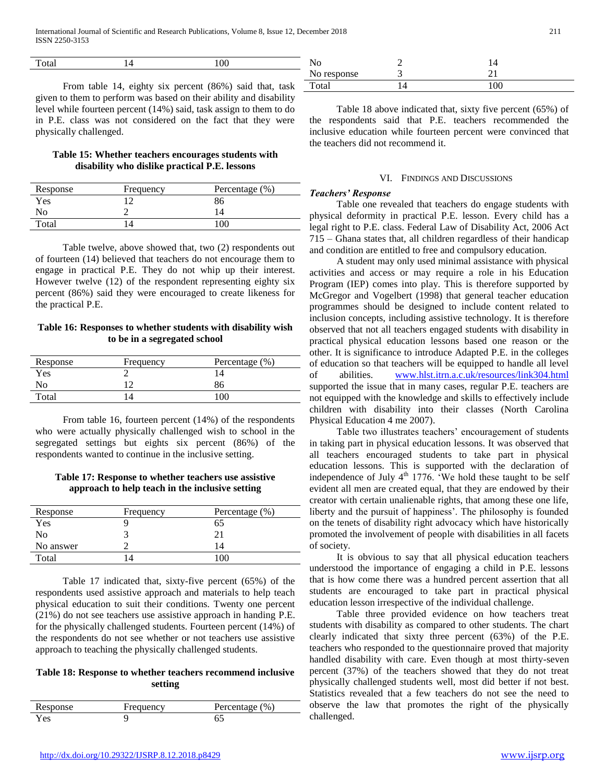| $\mathbf{H}$<br>otal |                                                                                                                 |                                                                                                                 |    |                      |
|----------------------|-----------------------------------------------------------------------------------------------------------------|-----------------------------------------------------------------------------------------------------------------|----|----------------------|
|                      |                                                                                                                 |                                                                                                                 |    |                      |
|                      | the contract of the contract of the contract of the contract of the contract of the contract of the contract of | the contract of the contract of the contract of the contract of the contract of the contract of the contract of | -- | $\sim$ $\sim$ $\sim$ |

From table 14, eighty six percent (86%) said that, tas given to them to perform was based on their ability and disability level while fourteen percent (14%) said, task assign to them to do in P.E. class was not considered on the fact that they were physically challenged.

# **Table 15: Whether teachers encourages students with disability who dislike practical P.E. lessons**

| Response   | Frequency | Percentage (%) |
|------------|-----------|----------------|
| <b>Yes</b> |           | 86             |
| No         |           |                |
| Total      |           | '00            |

 Table twelve, above showed that, two (2) respondents out of fourteen (14) believed that teachers do not encourage them to engage in practical P.E. They do not whip up their interest. However twelve (12) of the respondent representing eighty six percent (86%) said they were encouraged to create likeness for the practical P.E.

## **Table 16: Responses to whether students with disability wish to be in a segregated school**

| Response | Frequency | Percentage (%) |
|----------|-----------|----------------|
| Yes      |           | 14             |
| No       |           | 86             |
| Total    |           |                |

 From table 16, fourteen percent (14%) of the respondents who were actually physically challenged wish to school in the segregated settings but eights six percent (86%) of the respondents wanted to continue in the inclusive setting.

## **Table 17: Response to whether teachers use assistive approach to help teach in the inclusive setting**

| Response  | Frequency      | Percentage $(\% )$ |
|-----------|----------------|--------------------|
| Yes       |                | 65                 |
| No        |                |                    |
| No answer |                | $\overline{4}$     |
| Total     | $\overline{4}$ | l OC               |

 Table 17 indicated that, sixty-five percent (65%) of the respondents used assistive approach and materials to help teach physical education to suit their conditions. Twenty one percent (21%) do not see teachers use assistive approach in handing P.E. for the physically challenged students. Fourteen percent (14%) of the respondents do not see whether or not teachers use assistive approach to teaching the physically challenged students.

# **Table 18: Response to whether teachers recommend inclusive setting**

| Response | requency | Percentage (%) |
|----------|----------|----------------|
| r es     |          |                |

|    | ΝO          |     |  |
|----|-------------|-----|--|
|    | No response |     |  |
| sk | Total       | 100 |  |
| tv |             |     |  |

 Table 18 above indicated that, sixty five percent (65%) of the respondents said that P.E. teachers recommended the inclusive education while fourteen percent were convinced that the teachers did not recommend it.

## VI. FINDINGS AND DISCUSSIONS

## *Teachers' Response*

 Table one revealed that teachers do engage students with physical deformity in practical P.E. lesson. Every child has a legal right to P.E. class. Federal Law of Disability Act, 2006 Act 715 – Ghana states that, all children regardless of their handicap and condition are entitled to free and compulsory education.

 A student may only used minimal assistance with physical activities and access or may require a role in his Education Program (IEP) comes into play. This is therefore supported by McGregor and Vogelbert (1998) that general teacher education programmes should be designed to include content related to inclusion concepts, including assistive technology. It is therefore observed that not all teachers engaged students with disability in practical physical education lessons based one reason or the other. It is significance to introduce Adapted P.E. in the colleges of education so that teachers will be equipped to handle all level of abilities. [www.hlst.itrn.a.c.uk/resources/link304.html](http://www.hlst.itrn.a.c.uk/resources/link304.html) supported the issue that in many cases, regular P.E. teachers are not equipped with the knowledge and skills to effectively include children with disability into their classes (North Carolina Physical Education 4 me 2007).

 Table two illustrates teachers' encouragement of students in taking part in physical education lessons. It was observed that all teachers encouraged students to take part in physical education lessons. This is supported with the declaration of independence of July  $4<sup>th</sup>$  1776. 'We hold these taught to be self evident all men are created equal, that they are endowed by their creator with certain unalienable rights, that among these one life, liberty and the pursuit of happiness'. The philosophy is founded on the tenets of disability right advocacy which have historically promoted the involvement of people with disabilities in all facets of society.

 It is obvious to say that all physical education teachers understood the importance of engaging a child in P.E. lessons that is how come there was a hundred percent assertion that all students are encouraged to take part in practical physical education lesson irrespective of the individual challenge.

 Table three provided evidence on how teachers treat students with disability as compared to other students. The chart clearly indicated that sixty three percent (63%) of the P.E. teachers who responded to the questionnaire proved that majority handled disability with care. Even though at most thirty-seven percent (37%) of the teachers showed that they do not treat physically challenged students well, most did better if not best. Statistics revealed that a few teachers do not see the need to observe the law that promotes the right of the physically challenged.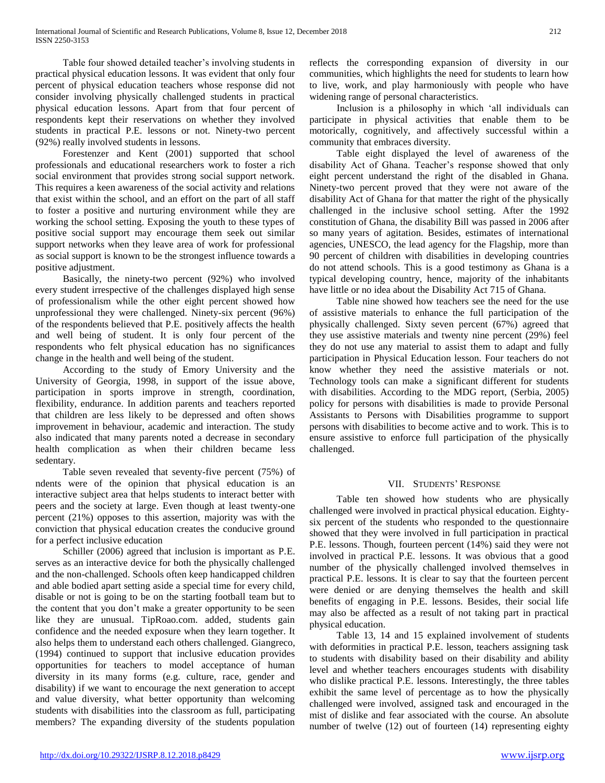Table four showed detailed teacher's involving students in practical physical education lessons. It was evident that only four percent of physical education teachers whose response did not consider involving physically challenged students in practical physical education lessons. Apart from that four percent of respondents kept their reservations on whether they involved students in practical P.E. lessons or not. Ninety-two percent (92%) really involved students in lessons.

 Forestenzer and Kent (2001) supported that school professionals and educational researchers work to foster a rich social environment that provides strong social support network. This requires a keen awareness of the social activity and relations that exist within the school, and an effort on the part of all staff to foster a positive and nurturing environment while they are working the school setting. Exposing the youth to these types of positive social support may encourage them seek out similar support networks when they leave area of work for professional as social support is known to be the strongest influence towards a positive adjustment.

 Basically, the ninety-two percent (92%) who involved every student irrespective of the challenges displayed high sense of professionalism while the other eight percent showed how unprofessional they were challenged. Ninety-six percent (96%) of the respondents believed that P.E. positively affects the health and well being of student. It is only four percent of the respondents who felt physical education has no significances change in the health and well being of the student.

 According to the study of Emory University and the University of Georgia, 1998, in support of the issue above, participation in sports improve in strength, coordination, flexibility, endurance. In addition parents and teachers reported that children are less likely to be depressed and often shows improvement in behaviour, academic and interaction. The study also indicated that many parents noted a decrease in secondary health complication as when their children became less sedentary.

 Table seven revealed that seventy-five percent (75%) of ndents were of the opinion that physical education is an interactive subject area that helps students to interact better with peers and the society at large. Even though at least twenty-one percent (21%) opposes to this assertion, majority was with the conviction that physical education creates the conducive ground for a perfect inclusive education

 Schiller (2006) agreed that inclusion is important as P.E. serves as an interactive device for both the physically challenged and the non-challenged. Schools often keep handicapped children and able bodied apart setting aside a special time for every child, disable or not is going to be on the starting football team but to the content that you don't make a greater opportunity to be seen like they are unusual. TipRoao.com. added, students gain confidence and the needed exposure when they learn together. It also helps them to understand each others challenged. Giangreco, (1994) continued to support that inclusive education provides opportunities for teachers to model acceptance of human diversity in its many forms (e.g. culture, race, gender and disability) if we want to encourage the next generation to accept and value diversity, what better opportunity than welcoming students with disabilities into the classroom as full, participating members? The expanding diversity of the students population reflects the corresponding expansion of diversity in our communities, which highlights the need for students to learn how to live, work, and play harmoniously with people who have widening range of personal characteristics.

 Inclusion is a philosophy in which 'all individuals can participate in physical activities that enable them to be motorically, cognitively, and affectively successful within a community that embraces diversity.

 Table eight displayed the level of awareness of the disability Act of Ghana. Teacher's response showed that only eight percent understand the right of the disabled in Ghana. Ninety-two percent proved that they were not aware of the disability Act of Ghana for that matter the right of the physically challenged in the inclusive school setting. After the 1992 constitution of Ghana, the disability Bill was passed in 2006 after so many years of agitation. Besides, estimates of international agencies, UNESCO, the lead agency for the Flagship, more than 90 percent of children with disabilities in developing countries do not attend schools. This is a good testimony as Ghana is a typical developing country, hence, majority of the inhabitants have little or no idea about the Disability Act 715 of Ghana.

 Table nine showed how teachers see the need for the use of assistive materials to enhance the full participation of the physically challenged. Sixty seven percent (67%) agreed that they use assistive materials and twenty nine percent (29%) feel they do not use any material to assist them to adapt and fully participation in Physical Education lesson. Four teachers do not know whether they need the assistive materials or not. Technology tools can make a significant different for students with disabilities. According to the MDG report, (Serbia, 2005) policy for persons with disabilities is made to provide Personal Assistants to Persons with Disabilities programme to support persons with disabilities to become active and to work. This is to ensure assistive to enforce full participation of the physically challenged.

# VII. STUDENTS' RESPONSE

 Table ten showed how students who are physically challenged were involved in practical physical education. Eightysix percent of the students who responded to the questionnaire showed that they were involved in full participation in practical P.E. lessons. Though, fourteen percent (14%) said they were not involved in practical P.E. lessons. It was obvious that a good number of the physically challenged involved themselves in practical P.E. lessons. It is clear to say that the fourteen percent were denied or are denying themselves the health and skill benefits of engaging in P.E. lessons. Besides, their social life may also be affected as a result of not taking part in practical physical education.

 Table 13, 14 and 15 explained involvement of students with deformities in practical P.E. lesson, teachers assigning task to students with disability based on their disability and ability level and whether teachers encourages students with disability who dislike practical P.E. lessons. Interestingly, the three tables exhibit the same level of percentage as to how the physically challenged were involved, assigned task and encouraged in the mist of dislike and fear associated with the course. An absolute number of twelve (12) out of fourteen (14) representing eighty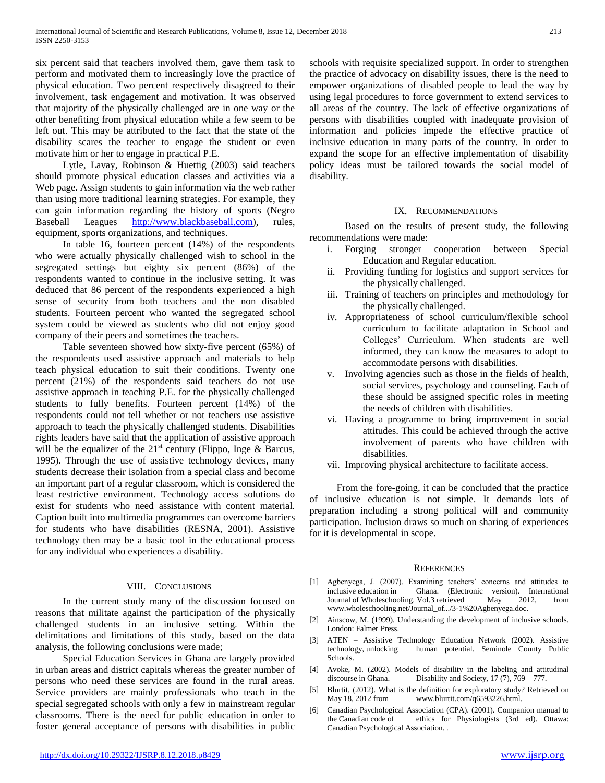six percent said that teachers involved them, gave them task to perform and motivated them to increasingly love the practice of physical education. Two percent respectively disagreed to their involvement, task engagement and motivation. It was observed that majority of the physically challenged are in one way or the other benefiting from physical education while a few seem to be left out. This may be attributed to the fact that the state of the disability scares the teacher to engage the student or even motivate him or her to engage in practical P.E.

 Lytle, Lavay, Robinson & Huettig (2003) said teachers should promote physical education classes and activities via a Web page. Assign students to gain information via the web rather than using more traditional learning strategies. For example, they can gain information regarding the history of sports (Negro Baseball Leagues [http://www.blackbaseball.com\)](http://www.blackbaseball.com/), rules, equipment, sports organizations, and techniques.

 In table 16, fourteen percent (14%) of the respondents who were actually physically challenged wish to school in the segregated settings but eighty six percent (86%) of the respondents wanted to continue in the inclusive setting. It was deduced that 86 percent of the respondents experienced a high sense of security from both teachers and the non disabled students. Fourteen percent who wanted the segregated school system could be viewed as students who did not enjoy good company of their peers and sometimes the teachers.

 Table seventeen showed how sixty-five percent (65%) of the respondents used assistive approach and materials to help teach physical education to suit their conditions. Twenty one percent (21%) of the respondents said teachers do not use assistive approach in teaching P.E. for the physically challenged students to fully benefits. Fourteen percent (14%) of the respondents could not tell whether or not teachers use assistive approach to teach the physically challenged students. Disabilities rights leaders have said that the application of assistive approach will be the equalizer of the  $21<sup>st</sup>$  century (Flippo, Inge & Barcus, 1995). Through the use of assistive technology devices, many students decrease their isolation from a special class and become an important part of a regular classroom, which is considered the least restrictive environment. Technology access solutions do exist for students who need assistance with content material. Caption built into multimedia programmes can overcome barriers for students who have disabilities (RESNA, 2001). Assistive technology then may be a basic tool in the educational process for any individual who experiences a disability.

#### VIII. CONCLUSIONS

 In the current study many of the discussion focused on reasons that militate against the participation of the physically challenged students in an inclusive setting. Within the delimitations and limitations of this study, based on the data analysis, the following conclusions were made;

 Special Education Services in Ghana are largely provided in urban areas and district capitals whereas the greater number of persons who need these services are found in the rural areas. Service providers are mainly professionals who teach in the special segregated schools with only a few in mainstream regular classrooms. There is the need for public education in order to foster general acceptance of persons with disabilities in public

schools with requisite specialized support. In order to strengthen the practice of advocacy on disability issues, there is the need to empower organizations of disabled people to lead the way by using legal procedures to force government to extend services to all areas of the country. The lack of effective organizations of persons with disabilities coupled with inadequate provision of information and policies impede the effective practice of inclusive education in many parts of the country. In order to expand the scope for an effective implementation of disability policy ideas must be tailored towards the social model of disability.

#### IX. RECOMMENDATIONS

Based on the results of present study, the following recommendations were made:

- i. Forging stronger cooperation between Special Education and Regular education.
- ii. Providing funding for logistics and support services for the physically challenged.
- iii. Training of teachers on principles and methodology for the physically challenged.
- iv. Appropriateness of school curriculum/flexible school curriculum to facilitate adaptation in School and Colleges' Curriculum. When students are well informed, they can know the measures to adopt to accommodate persons with disabilities.
- v. Involving agencies such as those in the fields of health, social services, psychology and counseling. Each of these should be assigned specific roles in meeting the needs of children with disabilities.
- vi. Having a programme to bring improvement in social attitudes. This could be achieved through the active involvement of parents who have children with disabilities.
- vii. Improving physical architecture to facilitate access.

 From the fore-going, it can be concluded that the practice of inclusive education is not simple. It demands lots of preparation including a strong political will and community participation. Inclusion draws so much on sharing of experiences for it is developmental in scope.

#### **REFERENCES**

- [1] Agbenyega, J. (2007). Examining teachers' concerns and attitudes to inclusive education in Ghana. (Electronic version). International Journal of Wholeschooling. Vol.3 retrieved May 2012, from www.wholeschooling.net/Journal\_of.../3-1%20Agbenyega.doc.
- [2] Ainscow, M. (1999). Understanding the development of inclusive schools. London: Falmer Press.
- [3] ATEN Assistive Technology Education Network (2002). Assistive human potential. Seminole County Public Schools.
- [4] Avoke, M. (2002). Models of disability in the labeling and attitudinal discourse in Ghana. Disability and Society, 17 (7), 769 – 777.
- [5] Blurtit, (2012). What is the definition for exploratory study? Retrieved on May 18, 2012 from www.blurtit.com/q6593226.html.
- [6] Canadian Psychological Association (CPA). (2001). Companion manual to the Canadian code of ethics for Physiologists (3rd ed). Ottawa: Canadian Psychological Association. .